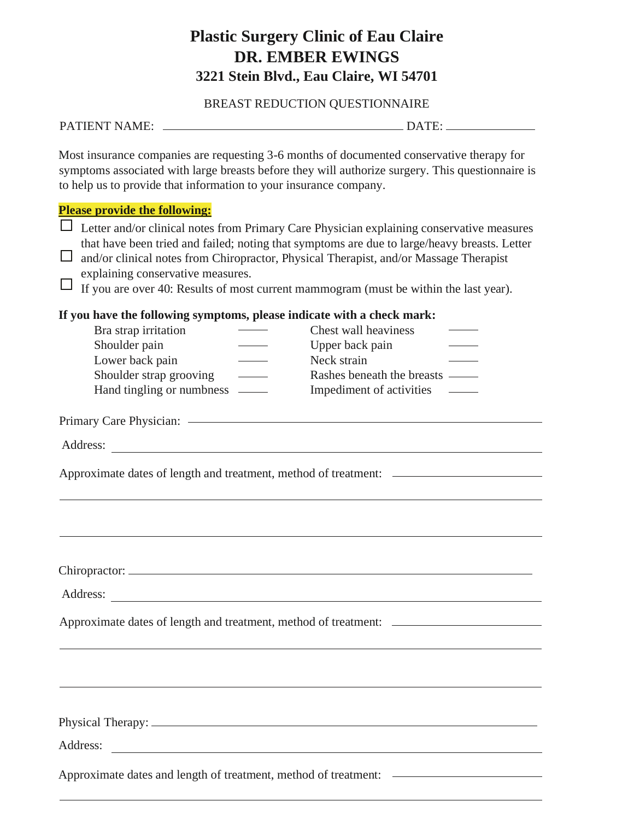## **Plastic Surgery Clinic of Eau Claire DR. EMBER EWINGS 3221 Stein Blvd., Eau Claire, WI 54701**

BREAST REDUCTION QUESTIONNAIRE

| Most insurance companies are requesting 3-6 months of documented conservative therapy for<br>symptoms associated with large breasts before they will authorize surgery. This questionnaire is<br>to help us to provide that information to your insurance company. |                                                                                                                                                                                           |
|--------------------------------------------------------------------------------------------------------------------------------------------------------------------------------------------------------------------------------------------------------------------|-------------------------------------------------------------------------------------------------------------------------------------------------------------------------------------------|
| <b>Please provide the following:</b><br>and/or clinical notes from Chiropractor, Physical Therapist, and/or Massage Therapist<br>explaining conservative measures.<br>If you are over 40: Results of most current mammogram (must be within the last year).        | Letter and/or clinical notes from Primary Care Physician explaining conservative measures<br>that have been tried and failed; noting that symptoms are due to large/heavy breasts. Letter |
| If you have the following symptoms, please indicate with a check mark:<br>Bra strap irritation<br>Shoulder pain<br>Lower back pain<br>Shoulder strap grooving<br>$\overline{\phantom{a}}$<br>Hand tingling or numbness —                                           | Chest wall heaviness<br>Upper back pain<br>Neck strain<br>Rashes beneath the breasts —<br>Impediment of activities                                                                        |
| Primary Care Physician: <a></a>                                                                                                                                                                                                                                    |                                                                                                                                                                                           |
| Approximate dates of length and treatment, method of treatment: _________________                                                                                                                                                                                  |                                                                                                                                                                                           |
| Chiropractor:                                                                                                                                                                                                                                                      |                                                                                                                                                                                           |
| Approximate dates of length and treatment, method of treatment: _________________                                                                                                                                                                                  |                                                                                                                                                                                           |
|                                                                                                                                                                                                                                                                    |                                                                                                                                                                                           |
|                                                                                                                                                                                                                                                                    |                                                                                                                                                                                           |
| Address:<br><u> 1980 - Andrea Stadt, fransk politik (d. 1980)</u>                                                                                                                                                                                                  |                                                                                                                                                                                           |
|                                                                                                                                                                                                                                                                    | Approximate dates and length of treatment, method of treatment: _________________                                                                                                         |